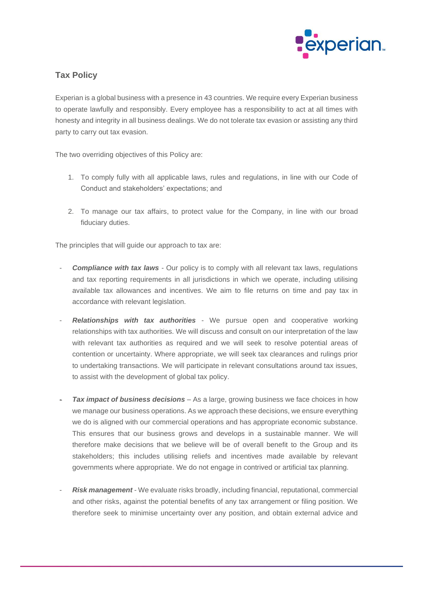

## **Tax Policy**

Experian is a global business with a presence in 43 countries. We require every Experian business to operate lawfully and responsibly. Every employee has a responsibility to act at all times with honesty and integrity in all business dealings. We do not tolerate tax evasion or assisting any third party to carry out tax evasion.

The two overriding objectives of this Policy are:

- 1. To comply fully with all applicable laws, rules and regulations, in line with our Code of Conduct and stakeholders' expectations; and
- 2. To manage our tax affairs, to protect value for the Company, in line with our broad fiduciary duties.

The principles that will guide our approach to tax are:

- **Compliance with tax laws** Our policy is to comply with all relevant tax laws, regulations and tax reporting requirements in all jurisdictions in which we operate, including utilising available tax allowances and incentives. We aim to file returns on time and pay tax in accordance with relevant legislation.
- **Relationships with tax authorities** We pursue open and cooperative working relationships with tax authorities. We will discuss and consult on our interpretation of the law with relevant tax authorities as required and we will seek to resolve potential areas of contention or uncertainty. Where appropriate, we will seek tax clearances and rulings prior to undertaking transactions. We will participate in relevant consultations around tax issues, to assist with the development of global tax policy.
- **Tax impact of business decisions** As a large, growing business we face choices in how we manage our business operations. As we approach these decisions, we ensure everything we do is aligned with our commercial operations and has appropriate economic substance. This ensures that our business grows and develops in a sustainable manner. We will therefore make decisions that we believe will be of overall benefit to the Group and its stakeholders; this includes utilising reliefs and incentives made available by relevant governments where appropriate. We do not engage in contrived or artificial tax planning.
- **Risk management** We evaluate risks broadly, including financial, reputational, commercial and other risks, against the potential benefits of any tax arrangement or filing position. We therefore seek to minimise uncertainty over any position, and obtain external advice and